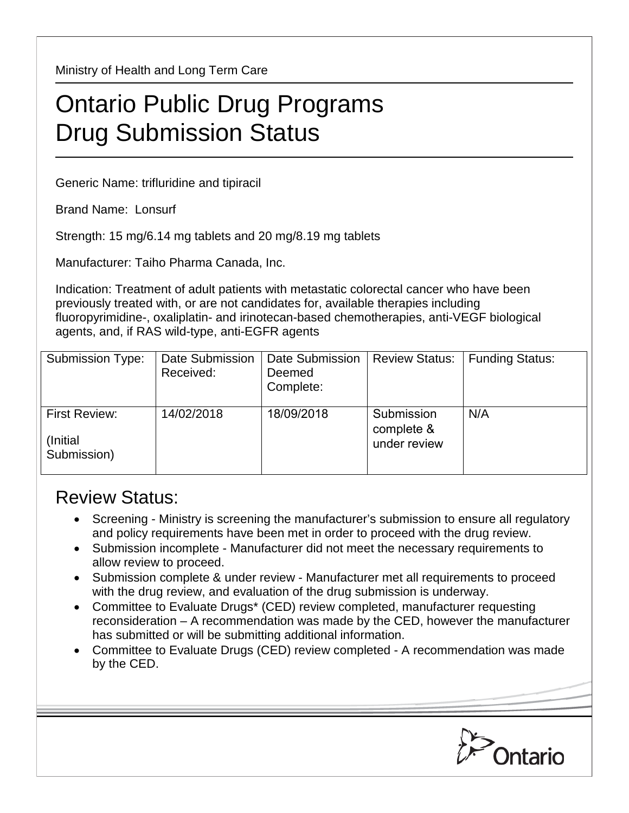Ministry of Health and Long Term Care

## Ontario Public Drug Programs Drug Submission Status

Generic Name: trifluridine and tipiracil

Brand Name: Lonsurf

Strength: 15 mg/6.14 mg tablets and 20 mg/8.19 mg tablets

Manufacturer: Taiho Pharma Canada, Inc.

Indication: Treatment of adult patients with metastatic colorectal cancer who have been previously treated with, or are not candidates for, available therapies including fluoropyrimidine-, oxaliplatin- and irinotecan-based chemotherapies, anti-VEGF biological agents, and, if RAS wild-type, anti-EGFR agents

| Submission Type:                          | Date Submission<br>Received: | Date Submission<br>Deemed<br>Complete: | <b>Review Status:</b>                    | <b>Funding Status:</b> |
|-------------------------------------------|------------------------------|----------------------------------------|------------------------------------------|------------------------|
| First Review:<br>(Initial)<br>Submission) | 14/02/2018                   | 18/09/2018                             | Submission<br>complete &<br>under review | N/A                    |

## Review Status:

- Screening Ministry is screening the manufacturer's submission to ensure all regulatory and policy requirements have been met in order to proceed with the drug review.
- Submission incomplete Manufacturer did not meet the necessary requirements to allow review to proceed.
- Submission complete & under review Manufacturer met all requirements to proceed with the drug review, and evaluation of the drug submission is underway.
- Committee to Evaluate Drugs\* (CED) review completed, manufacturer requesting reconsideration – A recommendation was made by the CED, however the manufacturer has submitted or will be submitting additional information.
- Committee to Evaluate Drugs (CED) review completed A recommendation was made by the CED.